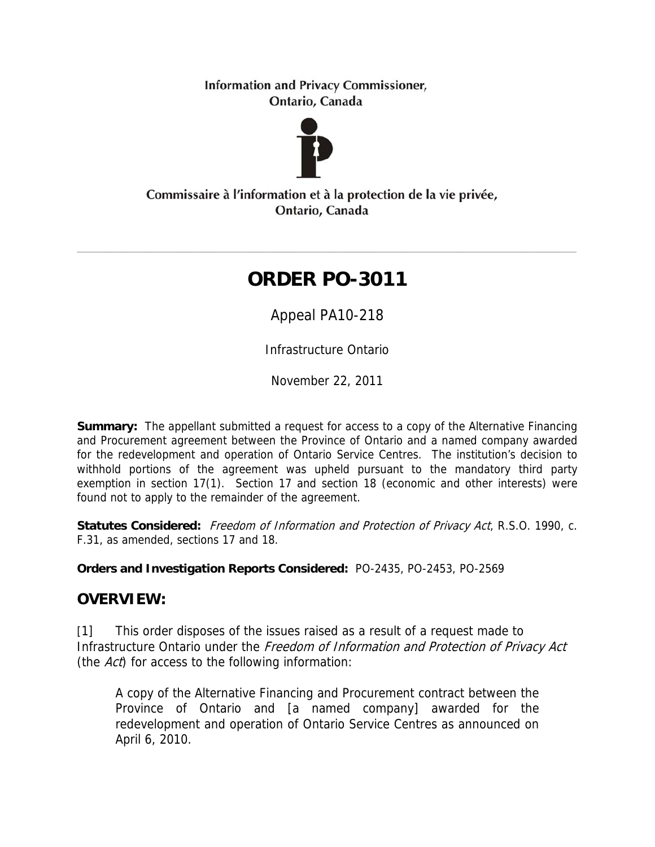**Information and Privacy Commissioner,** Ontario, Canada



Commissaire à l'information et à la protection de la vie privée, Ontario, Canada

# **ORDER PO-3011**

Appeal PA10-218

Infrastructure Ontario

November 22, 2011

**Summary:** The appellant submitted a request for access to a copy of the Alternative Financing and Procurement agreement between the Province of Ontario and a named company awarded for the redevelopment and operation of Ontario Service Centres. The institution's decision to withhold portions of the agreement was upheld pursuant to the mandatory third party exemption in section 17(1). Section 17 and section 18 (economic and other interests) were found not to apply to the remainder of the agreement.

**Statutes Considered:** Freedom of Information and Protection of Privacy Act, R.S.O. 1990, c. F.31, as amended, sections 17 and 18.

**Orders and Investigation Reports Considered:** PO-2435, PO-2453, PO-2569

# **OVERVIEW:**

[1] This order disposes of the issues raised as a result of a request made to Infrastructure Ontario under the Freedom of Information and Protection of Privacy Act (the  $Act$ ) for access to the following information:

A copy of the Alternative Financing and Procurement contract between the Province of Ontario and [a named company] awarded for the redevelopment and operation of Ontario Service Centres as announced on April 6, 2010.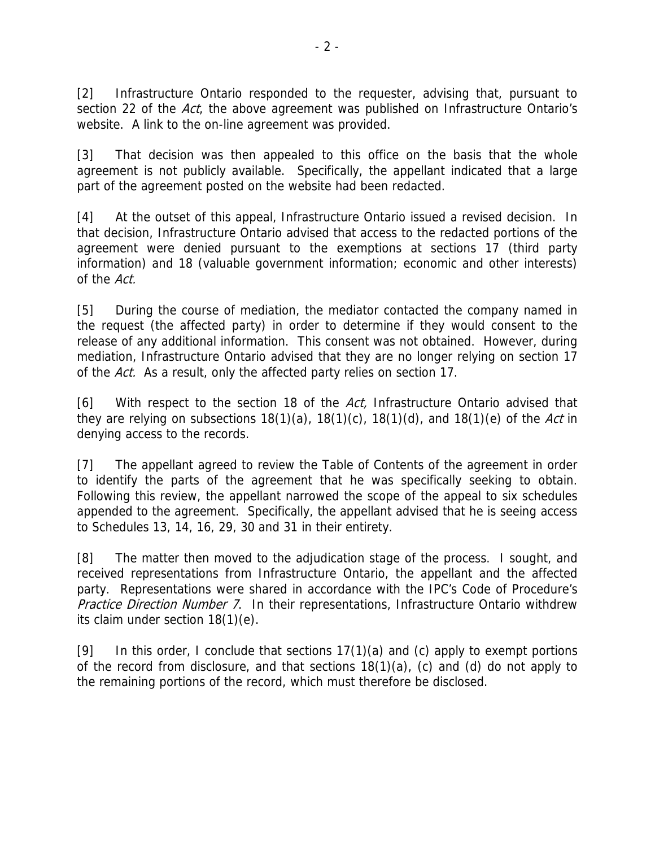[2] Infrastructure Ontario responded to the requester, advising that, pursuant to section 22 of the Act, the above agreement was published on Infrastructure Ontario's website. A link to the on-line agreement was provided.

[3] That decision was then appealed to this office on the basis that the whole agreement is not publicly available. Specifically, the appellant indicated that a large part of the agreement posted on the website had been redacted.

[4] At the outset of this appeal, Infrastructure Ontario issued a revised decision. In that decision, Infrastructure Ontario advised that access to the redacted portions of the agreement were denied pursuant to the exemptions at sections 17 (third party information) and 18 (valuable government information; economic and other interests) of the Act.

[5] During the course of mediation, the mediator contacted the company named in the request (the affected party) in order to determine if they would consent to the release of any additional information. This consent was not obtained. However, during mediation, Infrastructure Ontario advised that they are no longer relying on section 17 of the Act. As a result, only the affected party relies on section 17.

[6] With respect to the section 18 of the Act, Infrastructure Ontario advised that they are relying on subsections  $18(1)(a)$ ,  $18(1)(c)$ ,  $18(1)(d)$ , and  $18(1)(e)$  of the Act in denying access to the records.

[7] The appellant agreed to review the Table of Contents of the agreement in order to identify the parts of the agreement that he was specifically seeking to obtain. Following this review, the appellant narrowed the scope of the appeal to six schedules appended to the agreement. Specifically, the appellant advised that he is seeing access to Schedules 13, 14, 16, 29, 30 and 31 in their entirety.

[8] The matter then moved to the adjudication stage of the process. I sought, and received representations from Infrastructure Ontario, the appellant and the affected party. Representations were shared in accordance with the IPC's Code of Procedure's Practice Direction Number 7. In their representations, Infrastructure Ontario withdrew its claim under section 18(1)(e).

[9] In this order, I conclude that sections  $17(1)(a)$  and (c) apply to exempt portions of the record from disclosure, and that sections 18(1)(a), (c) and (d) do not apply to the remaining portions of the record, which must therefore be disclosed.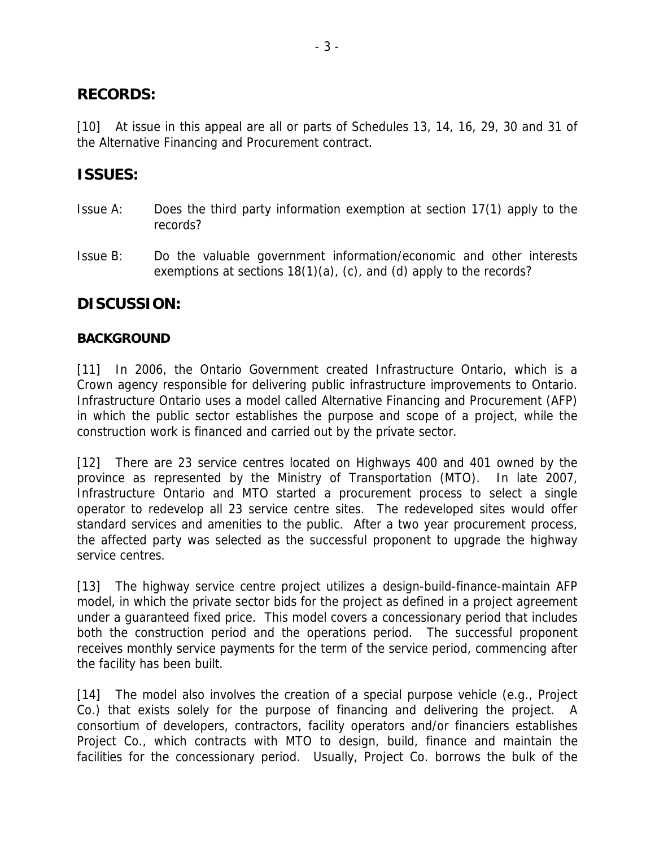### **RECORDS:**

[10] At issue in this appeal are all or parts of Schedules 13, 14, 16, 29, 30 and 31 of the Alternative Financing and Procurement contract.

## **ISSUES:**

- Issue A: Does the third party information exemption at section 17(1) apply to the records?
- Issue B: Do the valuable government information/economic and other interests exemptions at sections 18(1)(a), (c), and (d) apply to the records?

### **DISCUSSION:**

#### **BACKGROUND**

[11] In 2006, the Ontario Government created Infrastructure Ontario, which is a Crown agency responsible for delivering public infrastructure improvements to Ontario. Infrastructure Ontario uses a model called Alternative Financing and Procurement (AFP) in which the public sector establishes the purpose and scope of a project, while the construction work is financed and carried out by the private sector.

[12] There are 23 service centres located on Highways 400 and 401 owned by the province as represented by the Ministry of Transportation (MTO). In late 2007, Infrastructure Ontario and MTO started a procurement process to select a single operator to redevelop all 23 service centre sites. The redeveloped sites would offer standard services and amenities to the public. After a two year procurement process, the affected party was selected as the successful proponent to upgrade the highway service centres.

[13] The highway service centre project utilizes a design-build-finance-maintain AFP model, in which the private sector bids for the project as defined in a project agreement under a guaranteed fixed price. This model covers a concessionary period that includes both the construction period and the operations period. The successful proponent receives monthly service payments for the term of the service period, commencing after the facility has been built.

[14] The model also involves the creation of a special purpose vehicle (e.g., Project Co.) that exists solely for the purpose of financing and delivering the project. A consortium of developers, contractors, facility operators and/or financiers establishes Project Co., which contracts with MTO to design, build, finance and maintain the facilities for the concessionary period. Usually, Project Co. borrows the bulk of the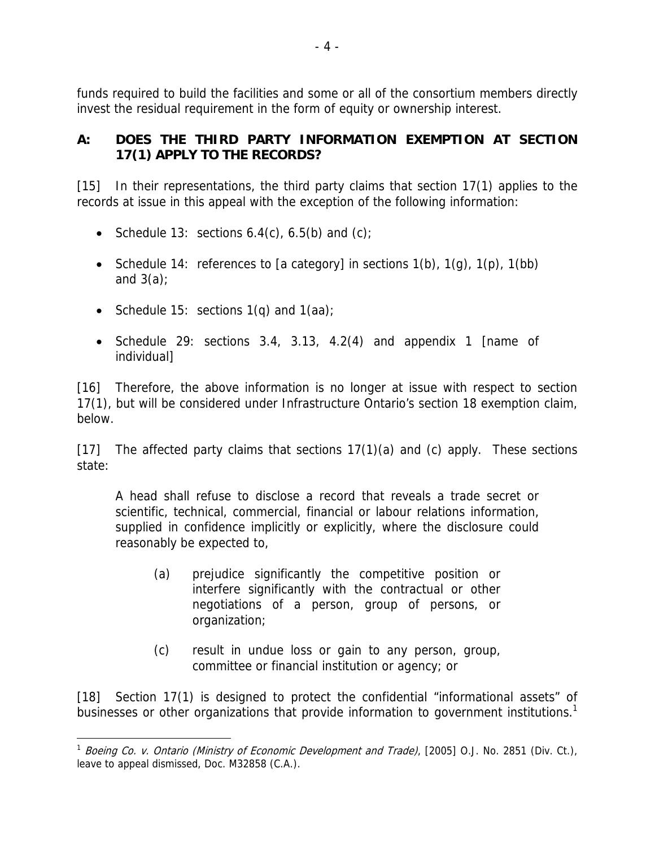funds required to build the facilities and some or all of the consortium members directly invest the residual requirement in the form of equity or ownership interest.

### **A: DOES THE THIRD PARTY INFORMATION EXEMPTION AT SECTION 17(1) APPLY TO THE RECORDS?**

[15] In their representations, the third party claims that section 17(1) applies to the records at issue in this appeal with the exception of the following information:

- Schedule 13: sections  $6.4(c)$ ,  $6.5(b)$  and  $(c)$ ;
- Schedule 14: references to [a category] in sections  $1(b)$ ,  $1(g)$ ,  $1(p)$ ,  $1(bb)$ and  $3(a)$ ;
- Schedule 15: sections  $1(q)$  and  $1(aa)$ ;
- Schedule 29: sections 3.4, 3.13, 4.2(4) and appendix 1 [name of individual]

[16] Therefore, the above information is no longer at issue with respect to section 17(1), but will be considered under Infrastructure Ontario's section 18 exemption claim, below.

[17] The affected party claims that sections 17(1)(a) and (c) apply. These sections state:

A head shall refuse to disclose a record that reveals a trade secret or scientific, technical, commercial, financial or labour relations information, supplied in confidence implicitly or explicitly, where the disclosure could reasonably be expected to,

- (a) prejudice significantly the competitive position or interfere significantly with the contractual or other negotiations of a person, group of persons, or organization;
- (c) result in undue loss or gain to any person, group, committee or financial institution or agency; or

[18] Section 17(1) is designed to protect the confidential "informational assets" of businesses or other organizations that provide information to government institutions.<sup>1</sup>

<sup>1</sup> <sup>1</sup> Boeing Co. v. Ontario (Ministry of Economic Development and Trade), [2005] O.J. No. 2851 (Div. Ct.), leave to appeal dismissed, Doc. M32858 (C.A.).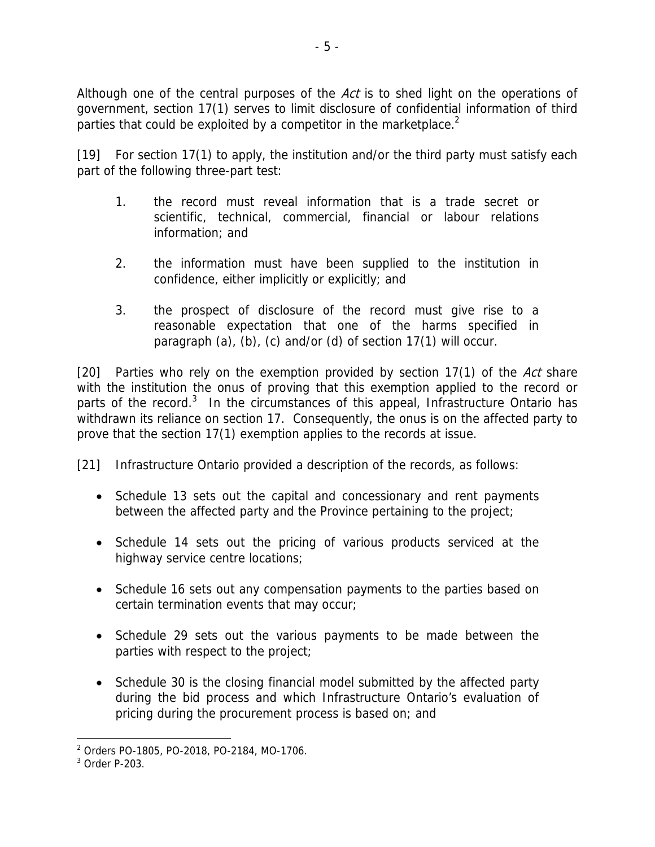Although one of the central purposes of the  $Act$  is to shed light on the operations of government, section 17(1) serves to limit disclosure of confidential information of third parties that could be exploited by a competitor in the marketplace. $2$ 

[19] For section 17(1) to apply, the institution and/or the third party must satisfy each part of the following three-part test:

- 1. the record must reveal information that is a trade secret or scientific, technical, commercial, financial or labour relations information; and
- 2. the information must have been supplied to the institution in confidence, either implicitly or explicitly; and
- 3. the prospect of disclosure of the record must give rise to a reasonable expectation that one of the harms specified in paragraph (a), (b), (c) and/or (d) of section 17(1) will occur.

[20] Parties who rely on the exemption provided by section  $17(1)$  of the Act share with the institution the onus of proving that this exemption applied to the record or parts of the record.<sup>3</sup> In the circumstances of this appeal, Infrastructure Ontario has withdrawn its reliance on section 17. Consequently, the onus is on the affected party to prove that the section 17(1) exemption applies to the records at issue.

[21] Infrastructure Ontario provided a description of the records, as follows:

- Schedule 13 sets out the capital and concessionary and rent payments between the affected party and the Province pertaining to the project;
- Schedule 14 sets out the pricing of various products serviced at the highway service centre locations;
- Schedule 16 sets out any compensation payments to the parties based on certain termination events that may occur;
- Schedule 29 sets out the various payments to be made between the parties with respect to the project;
- Schedule 30 is the closing financial model submitted by the affected party during the bid process and which Infrastructure Ontario's evaluation of pricing during the procurement process is based on; and

<sup>2</sup> Orders PO-1805, PO-2018, PO-2184, MO-1706.

 $3$  Order P-203.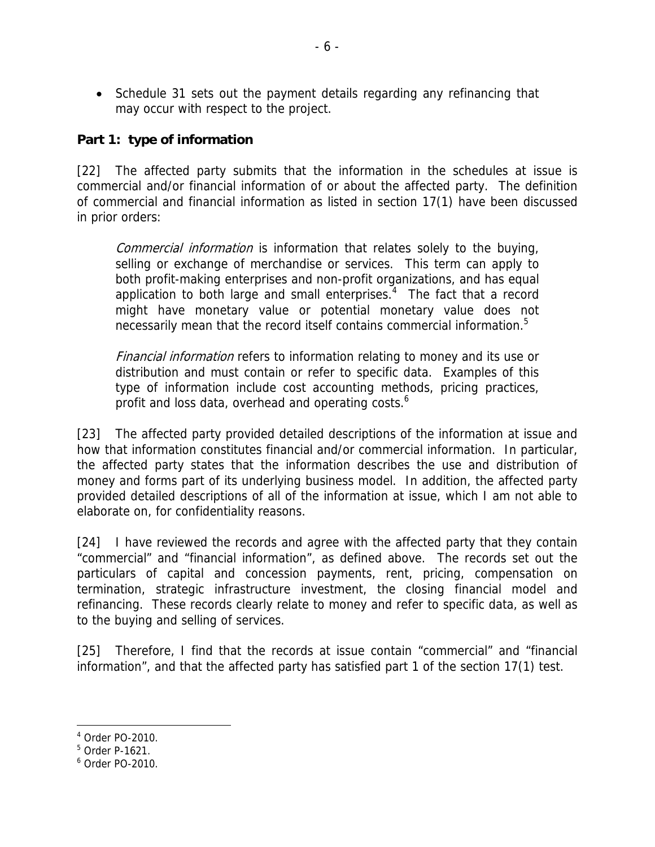• Schedule 31 sets out the payment details regarding any refinancing that may occur with respect to the project.

### **Part 1: type of information**

[22] The affected party submits that the information in the schedules at issue is commercial and/or financial information of or about the affected party. The definition of commercial and financial information as listed in section 17(1) have been discussed in prior orders:

Commercial information is information that relates solely to the buying, selling or exchange of merchandise or services. This term can apply to both profit-making enterprises and non-profit organizations, and has equal application to both large and small enterprises. $4$  The fact that a record might have monetary value or potential monetary value does not necessarily mean that the record itself contains commercial information.<sup>5</sup>

Financial information refers to information relating to money and its use or distribution and must contain or refer to specific data. Examples of this type of information include cost accounting methods, pricing practices, profit and loss data, overhead and operating costs.<sup>6</sup>

[23] The affected party provided detailed descriptions of the information at issue and how that information constitutes financial and/or commercial information. In particular, the affected party states that the information describes the use and distribution of money and forms part of its underlying business model. In addition, the affected party provided detailed descriptions of all of the information at issue, which I am not able to elaborate on, for confidentiality reasons.

[24] I have reviewed the records and agree with the affected party that they contain "commercial" and "financial information", as defined above. The records set out the particulars of capital and concession payments, rent, pricing, compensation on termination, strategic infrastructure investment, the closing financial model and refinancing. These records clearly relate to money and refer to specific data, as well as to the buying and selling of services.

[25] Therefore, I find that the records at issue contain "commercial" and "financial information", and that the affected party has satisfied part 1 of the section 17(1) test.

<sup>4</sup> Order PO-2010.

<sup>5</sup> Order P-1621.

<sup>6</sup> Order PO-2010.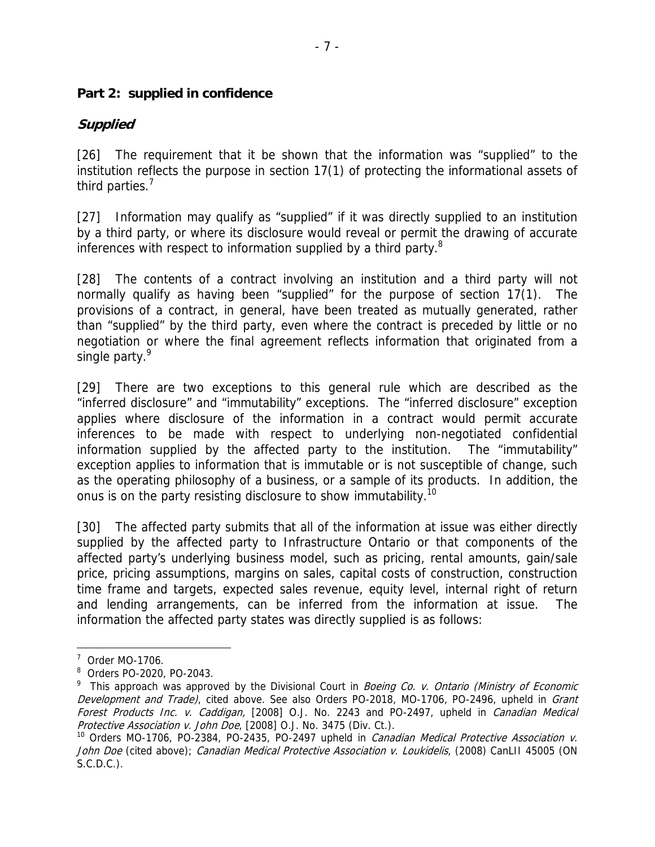#### **Part 2: supplied in confidence**

### **Supplied**

[26] The requirement that it be shown that the information was "supplied" to the institution reflects the purpose in section 17(1) of protecting the informational assets of third parties.<sup>7</sup>

[27] Information may qualify as "supplied" if it was directly supplied to an institution by a third party, or where its disclosure would reveal or permit the drawing of accurate inferences with respect to information supplied by a third party.<sup>8</sup>

[28] The contents of a contract involving an institution and a third party will not normally qualify as having been "supplied" for the purpose of section 17(1). The provisions of a contract, in general, have been treated as mutually generated, rather than "supplied" by the third party, even where the contract is preceded by little or no negotiation or where the final agreement reflects information that originated from a single party.<sup>9</sup>

[29] There are two exceptions to this general rule which are described as the "inferred disclosure" and "immutability" exceptions. The "inferred disclosure" exception applies where disclosure of the information in a contract would permit accurate inferences to be made with respect to underlying non-negotiated confidential information supplied by the affected party to the institution. The "immutability" exception applies to information that is immutable or is not susceptible of change, such as the operating philosophy of a business, or a sample of its products. In addition, the onus is on the party resisting disclosure to show immutability.<sup>10</sup>

[30] The affected party submits that all of the information at issue was either directly supplied by the affected party to Infrastructure Ontario or that components of the affected party's underlying business model, such as pricing, rental amounts, gain/sale price, pricing assumptions, margins on sales, capital costs of construction, construction time frame and targets, expected sales revenue, equity level, internal right of return and lending arrangements, can be inferred from the information at issue. The information the affected party states was directly supplied is as follows:

 $7$  Order MO-1706.

<sup>8</sup> Orders PO-2020, PO-2043.

<sup>&</sup>lt;sup>9</sup> This approach was approved by the Divisional Court in *Boeing Co. v. Ontario (Ministry of Economic* Development and Trade), cited above. See also Orders PO-2018, MO-1706, PO-2496, upheld in Grant Forest Products Inc. v. Caddigan, [2008] O.J. No. 2243 and PO-2497, upheld in Canadian Medical Protective Association v. John Doe, [2008] O.J. No. 3475 (Div. Ct.).

<sup>&</sup>lt;sup>10</sup> Orders MO-1706, PO-2384, PO-2435, PO-2497 upheld in *Canadian Medical Protective Association v.* John Doe (cited above); Canadian Medical Protective Association v. Loukidelis, (2008) CanLII 45005 (ON S.C.D.C.).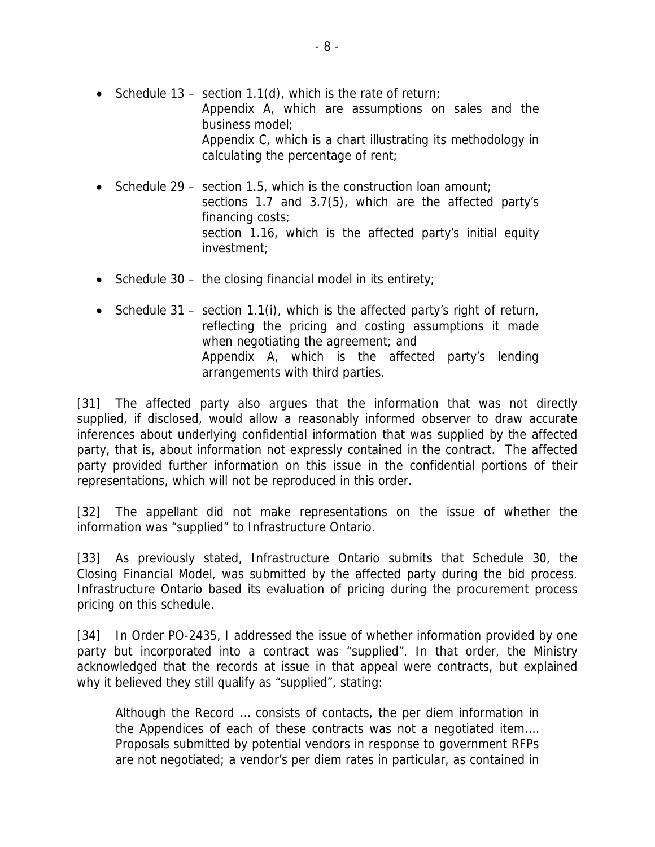- Schedule 13 section 1.1(d), which is the rate of return; Appendix A, which are assumptions on sales and the business model; Appendix C, which is a chart illustrating its methodology in calculating the percentage of rent;
- Schedule 29 section 1.5, which is the construction loan amount; sections 1.7 and 3.7(5), which are the affected party's financing costs; section 1.16, which is the affected party's initial equity investment;
- Schedule 30 the closing financial model in its entirety;
- Schedule 31 section 1.1(i), which is the affected party's right of return, reflecting the pricing and costing assumptions it made when negotiating the agreement; and Appendix A, which is the affected party's lending arrangements with third parties.

[31] The affected party also argues that the information that was not directly supplied, if disclosed, would allow a reasonably informed observer to draw accurate inferences about underlying confidential information that was supplied by the affected party, that is, about information not expressly contained in the contract. The affected party provided further information on this issue in the confidential portions of their representations, which will not be reproduced in this order.

[32] The appellant did not make representations on the issue of whether the information was "supplied" to Infrastructure Ontario.

[33] As previously stated, Infrastructure Ontario submits that Schedule 30, the Closing Financial Model, was submitted by the affected party during the bid process. Infrastructure Ontario based its evaluation of pricing during the procurement process pricing on this schedule.

[34] In Order PO-2435, I addressed the issue of whether information provided by one party but incorporated into a contract was "supplied". In that order, the Ministry acknowledged that the records at issue in that appeal were contracts, but explained why it believed they still qualify as "supplied", stating:

Although the Record … consists of contacts, the per diem information in the Appendices of each of these contracts was not a negotiated item.… Proposals submitted by potential vendors in response to government RFPs are not negotiated; a vendor's per diem rates in particular, as contained in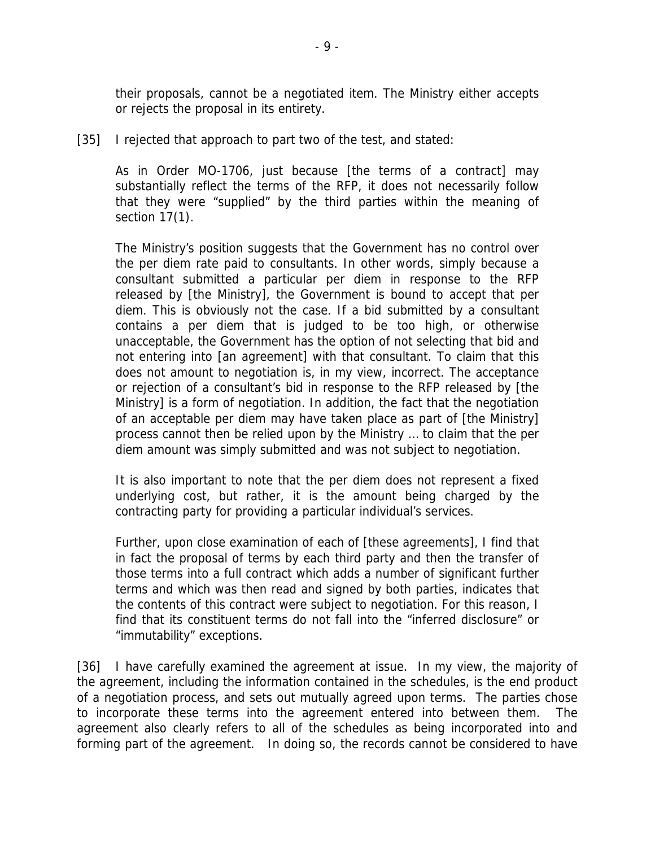their proposals, cannot be a negotiated item. The Ministry either accepts or rejects the proposal in its entirety.

[35] I rejected that approach to part two of the test, and stated:

As in Order MO-1706, just because [the terms of a contract] may substantially reflect the terms of the RFP, it does not necessarily follow that they were "supplied" by the third parties within the meaning of section 17(1).

The Ministry's position suggests that the Government has no control over the per diem rate paid to consultants. In other words, simply because a consultant submitted a particular per diem in response to the RFP released by [the Ministry], the Government is bound to accept that per diem. This is obviously not the case. If a bid submitted by a consultant contains a per diem that is judged to be too high, or otherwise unacceptable, the Government has the option of not selecting that bid and not entering into [an agreement] with that consultant. To claim that this does not amount to negotiation is, in my view, incorrect. The acceptance or rejection of a consultant's bid in response to the RFP released by [the Ministry] is a form of negotiation. In addition, the fact that the negotiation of an acceptable per diem may have taken place as part of [the Ministry] process cannot then be relied upon by the Ministry … to claim that the per diem amount was simply submitted and was not subject to negotiation.

It is also important to note that the per diem does not represent a fixed underlying cost, but rather, it is the amount being charged by the contracting party for providing a particular individual's services.

Further, upon close examination of each of [these agreements], I find that in fact the proposal of terms by each third party and then the transfer of those terms into a full contract which adds a number of significant further terms and which was then read and signed by both parties, indicates that the contents of this contract were subject to negotiation. For this reason, I find that its constituent terms do not fall into the "inferred disclosure" or "immutability" exceptions.

[36] I have carefully examined the agreement at issue. In my view, the majority of the agreement, including the information contained in the schedules, is the end product of a negotiation process, and sets out mutually agreed upon terms. The parties chose to incorporate these terms into the agreement entered into between them. The agreement also clearly refers to all of the schedules as being incorporated into and forming part of the agreement. In doing so, the records cannot be considered to have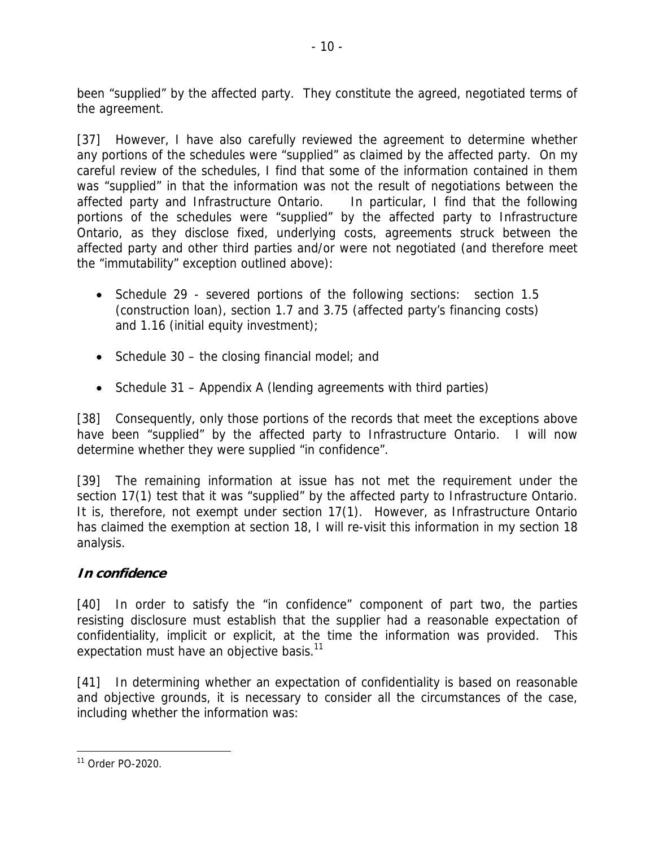been "supplied" by the affected party. They constitute the agreed, negotiated terms of the agreement.

[37] However, I have also carefully reviewed the agreement to determine whether any portions of the schedules were "supplied" as claimed by the affected party. On my careful review of the schedules, I find that some of the information contained in them was "supplied" in that the information was not the result of negotiations between the affected party and Infrastructure Ontario. In particular, I find that the following portions of the schedules were "supplied" by the affected party to Infrastructure Ontario, as they disclose fixed, underlying costs, agreements struck between the affected party and other third parties and/or were not negotiated (and therefore meet the "immutability" exception outlined above):

- Schedule 29 severed portions of the following sections: section 1.5 (construction loan), section 1.7 and 3.75 (affected party's financing costs) and 1.16 (initial equity investment);
- Schedule  $30 -$  the closing financial model; and
- Schedule 31 Appendix A (lending agreements with third parties)

[38] Consequently, only those portions of the records that meet the exceptions above have been "supplied" by the affected party to Infrastructure Ontario. I will now determine whether they were supplied "in confidence".

[39] The remaining information at issue has not met the requirement under the section 17(1) test that it was "supplied" by the affected party to Infrastructure Ontario. It is, therefore, not exempt under section 17(1). However, as Infrastructure Ontario has claimed the exemption at section 18, I will re-visit this information in my section 18 analysis.

### **In confidence**

[40] In order to satisfy the "in confidence" component of part two, the parties resisting disclosure must establish that the supplier had a reasonable expectation of confidentiality, implicit or explicit, at the time the information was provided. This expectation must have an objective basis.<sup>11</sup>

[41] In determining whether an expectation of confidentiality is based on reasonable and objective grounds, it is necessary to consider all the circumstances of the case, including whether the information was:

<sup>1</sup> 11 Order PO-2020.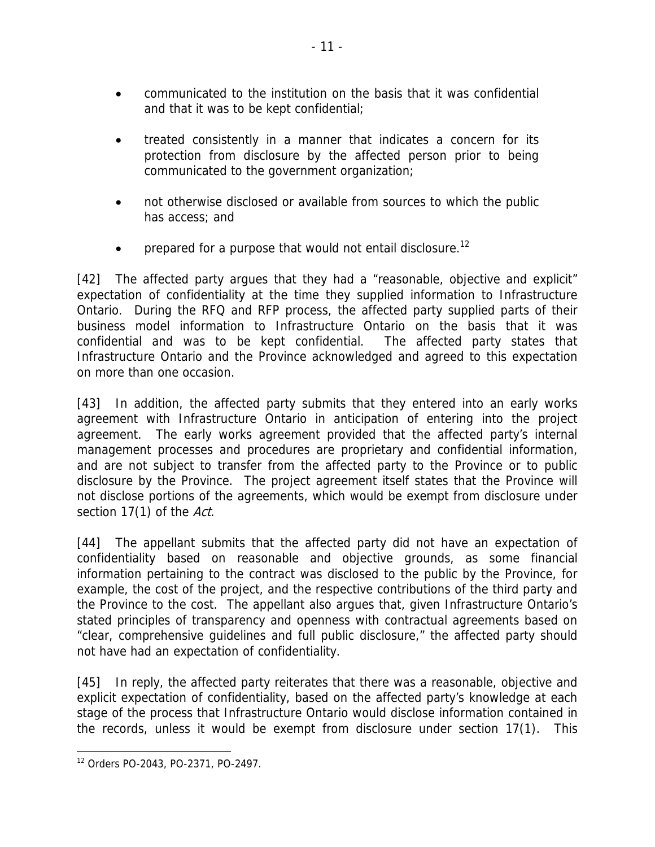- communicated to the institution on the basis that it was confidential and that it was to be kept confidential;
- treated consistently in a manner that indicates a concern for its protection from disclosure by the affected person prior to being communicated to the government organization;
- not otherwise disclosed or available from sources to which the public has access; and
- prepared for a purpose that would not entail disclosure.<sup>12</sup>

[42] The affected party argues that they had a "reasonable, objective and explicit" expectation of confidentiality at the time they supplied information to Infrastructure Ontario. During the RFQ and RFP process, the affected party supplied parts of their business model information to Infrastructure Ontario on the basis that it was confidential and was to be kept confidential. The affected party states that Infrastructure Ontario and the Province acknowledged and agreed to this expectation on more than one occasion.

[43] In addition, the affected party submits that they entered into an early works agreement with Infrastructure Ontario in anticipation of entering into the project agreement. The early works agreement provided that the affected party's internal management processes and procedures are proprietary and confidential information, and are not subject to transfer from the affected party to the Province or to public disclosure by the Province. The project agreement itself states that the Province will not disclose portions of the agreements, which would be exempt from disclosure under section 17(1) of the Act.

[44] The appellant submits that the affected party did not have an expectation of confidentiality based on reasonable and objective grounds, as some financial information pertaining to the contract was disclosed to the public by the Province, for example, the cost of the project, and the respective contributions of the third party and the Province to the cost. The appellant also argues that, given Infrastructure Ontario's stated principles of transparency and openness with contractual agreements based on "clear, comprehensive guidelines and full public disclosure," the affected party should not have had an expectation of confidentiality.

[45] In reply, the affected party reiterates that there was a reasonable, objective and explicit expectation of confidentiality, based on the affected party's knowledge at each stage of the process that Infrastructure Ontario would disclose information contained in the records, unless it would be exempt from disclosure under section 17(1). This

<sup>12</sup> Orders PO-2043, PO-2371, PO-2497.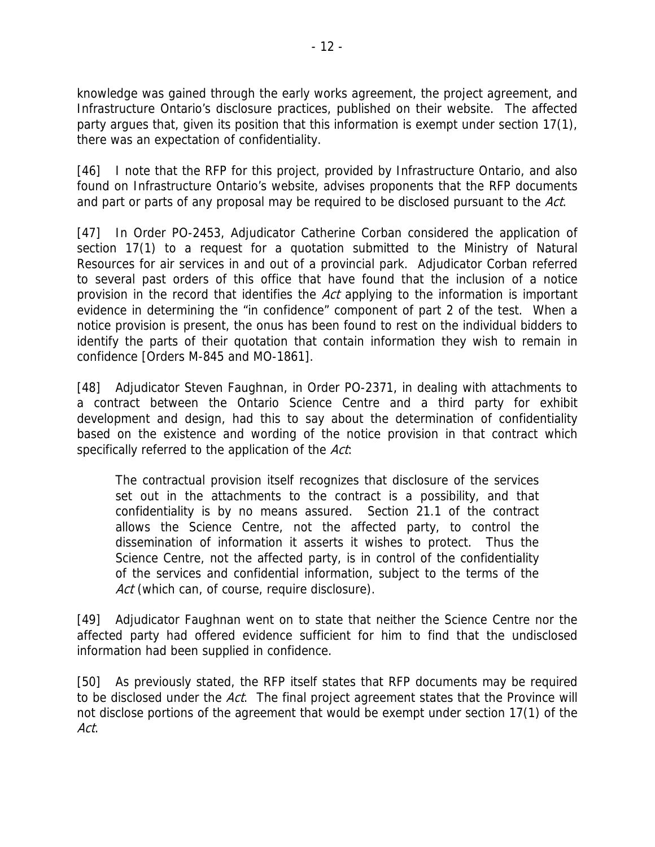knowledge was gained through the early works agreement, the project agreement, and Infrastructure Ontario's disclosure practices, published on their website. The affected party argues that, given its position that this information is exempt under section 17(1), there was an expectation of confidentiality.

[46] I note that the RFP for this project, provided by Infrastructure Ontario, and also found on Infrastructure Ontario's website, advises proponents that the RFP documents and part or parts of any proposal may be required to be disclosed pursuant to the Act.

[47] In Order PO-2453, Adjudicator Catherine Corban considered the application of section 17(1) to a request for a quotation submitted to the Ministry of Natural Resources for air services in and out of a provincial park. Adjudicator Corban referred to several past orders of this office that have found that the inclusion of a notice provision in the record that identifies the Act applying to the information is important evidence in determining the "in confidence" component of part 2 of the test. When a notice provision is present, the onus has been found to rest on the individual bidders to identify the parts of their quotation that contain information they wish to remain in confidence [Orders M-845 and MO-1861].

[48] Adjudicator Steven Faughnan, in Order PO-2371, in dealing with attachments to a contract between the Ontario Science Centre and a third party for exhibit development and design, had this to say about the determination of confidentiality based on the existence and wording of the notice provision in that contract which specifically referred to the application of the Act.

The contractual provision itself recognizes that disclosure of the services set out in the attachments to the contract is a possibility, and that confidentiality is by no means assured. Section 21.1 of the contract allows the Science Centre, not the affected party, to control the dissemination of information it asserts it wishes to protect. Thus the Science Centre, not the affected party, is in control of the confidentiality of the services and confidential information, subject to the terms of the Act (which can, of course, require disclosure).

[49] Adjudicator Faughnan went on to state that neither the Science Centre nor the affected party had offered evidence sufficient for him to find that the undisclosed information had been supplied in confidence.

[50] As previously stated, the RFP itself states that RFP documents may be required to be disclosed under the Act. The final project agreement states that the Province will not disclose portions of the agreement that would be exempt under section 17(1) of the Act.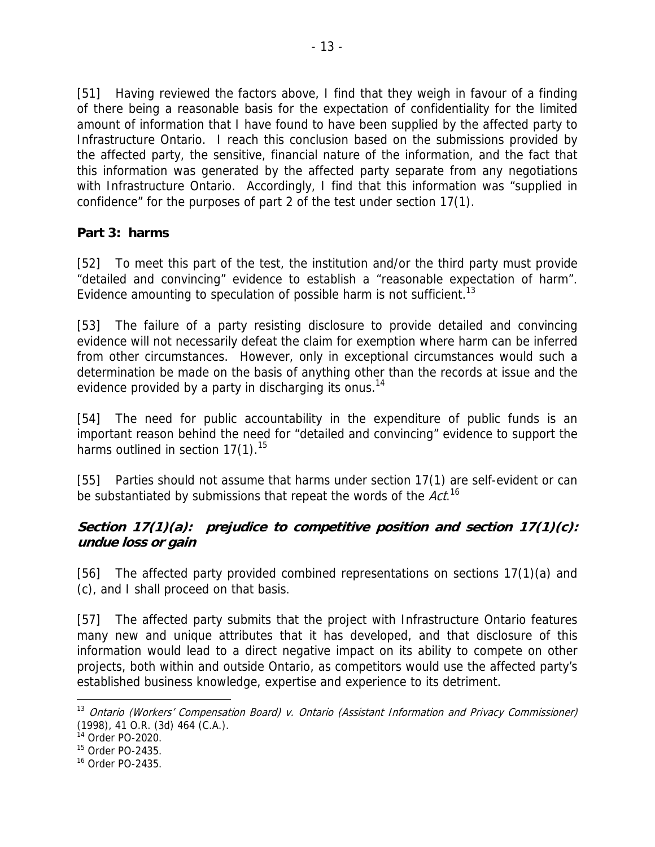[51] Having reviewed the factors above, I find that they weigh in favour of a finding of there being a reasonable basis for the expectation of confidentiality for the limited amount of information that I have found to have been supplied by the affected party to Infrastructure Ontario. I reach this conclusion based on the submissions provided by the affected party, the sensitive, financial nature of the information, and the fact that this information was generated by the affected party separate from any negotiations with Infrastructure Ontario. Accordingly, I find that this information was "supplied in confidence" for the purposes of part 2 of the test under section 17(1).

### **Part 3: harms**

[52] To meet this part of the test, the institution and/or the third party must provide "detailed and convincing" evidence to establish a "reasonable expectation of harm". Evidence amounting to speculation of possible harm is not sufficient.<sup>13</sup>

[53] The failure of a party resisting disclosure to provide detailed and convincing evidence will not necessarily defeat the claim for exemption where harm can be inferred from other circumstances. However, only in exceptional circumstances would such a determination be made on the basis of anything other than the records at issue and the evidence provided by a party in discharging its onus.<sup>14</sup>

[54] The need for public accountability in the expenditure of public funds is an important reason behind the need for "detailed and convincing" evidence to support the harms outlined in section  $17(1).^{15}$ 

[55] Parties should not assume that harms under section 17(1) are self-evident or can be substantiated by submissions that repeat the words of the  $\textit{Act.}^{\text{16}}$ 

### **Section 17(1)(a): prejudice to competitive position and section 17(1)(c): undue loss or gain**

[56] The affected party provided combined representations on sections 17(1)(a) and (c), and I shall proceed on that basis.

[57] The affected party submits that the project with Infrastructure Ontario features many new and unique attributes that it has developed, and that disclosure of this information would lead to a direct negative impact on its ability to compete on other projects, both within and outside Ontario, as competitors would use the affected party's established business knowledge, expertise and experience to its detriment.

<sup>&</sup>lt;sup>13</sup> Ontario (Workers' Compensation Board) v. Ontario (Assistant Information and Privacy Commissioner) (1998), 41 O.R. (3d) 464 (C.A.).

<sup>14</sup> Order PO-2020.

<sup>15</sup> Order PO-2435.

<sup>16</sup> Order PO-2435.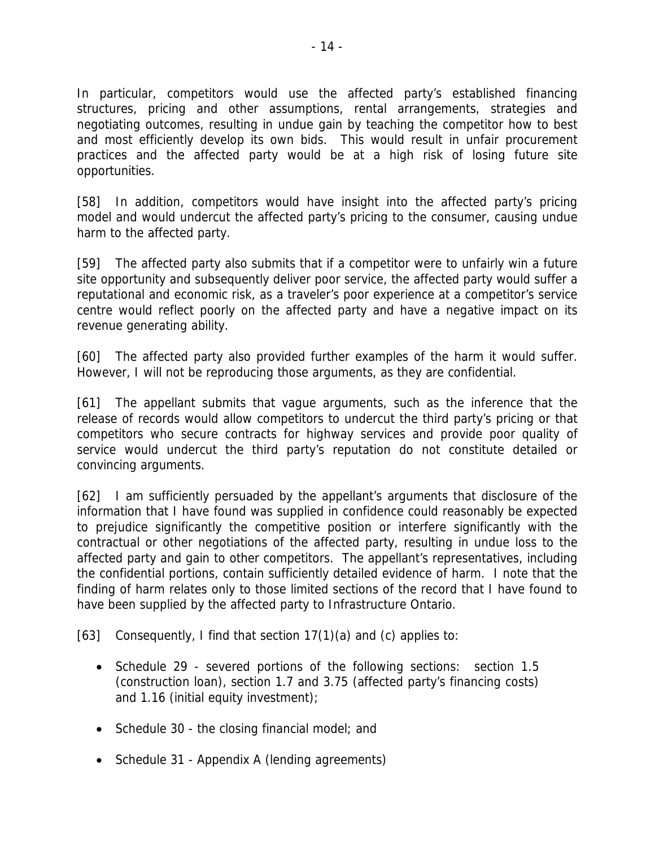In particular, competitors would use the affected party's established financing structures, pricing and other assumptions, rental arrangements, strategies and negotiating outcomes, resulting in undue gain by teaching the competitor how to best and most efficiently develop its own bids. This would result in unfair procurement practices and the affected party would be at a high risk of losing future site opportunities.

[58] In addition, competitors would have insight into the affected party's pricing model and would undercut the affected party's pricing to the consumer, causing undue harm to the affected party.

[59] The affected party also submits that if a competitor were to unfairly win a future site opportunity and subsequently deliver poor service, the affected party would suffer a reputational and economic risk, as a traveler's poor experience at a competitor's service centre would reflect poorly on the affected party and have a negative impact on its revenue generating ability.

[60] The affected party also provided further examples of the harm it would suffer. However, I will not be reproducing those arguments, as they are confidential.

[61] The appellant submits that vague arguments, such as the inference that the release of records would allow competitors to undercut the third party's pricing or that competitors who secure contracts for highway services and provide poor quality of service would undercut the third party's reputation do not constitute detailed or convincing arguments.

[62] I am sufficiently persuaded by the appellant's arguments that disclosure of the information that I have found was supplied in confidence could reasonably be expected to prejudice significantly the competitive position or interfere significantly with the contractual or other negotiations of the affected party, resulting in undue loss to the affected party and gain to other competitors. The appellant's representatives, including the confidential portions, contain sufficiently detailed evidence of harm. I note that the finding of harm relates only to those limited sections of the record that I have found to have been supplied by the affected party to Infrastructure Ontario.

[63] Consequently, I find that section  $17(1)(a)$  and (c) applies to:

- Schedule 29 severed portions of the following sections: section 1.5 (construction loan), section 1.7 and 3.75 (affected party's financing costs) and 1.16 (initial equity investment);
- Schedule 30 the closing financial model; and
- Schedule 31 Appendix A (lending agreements)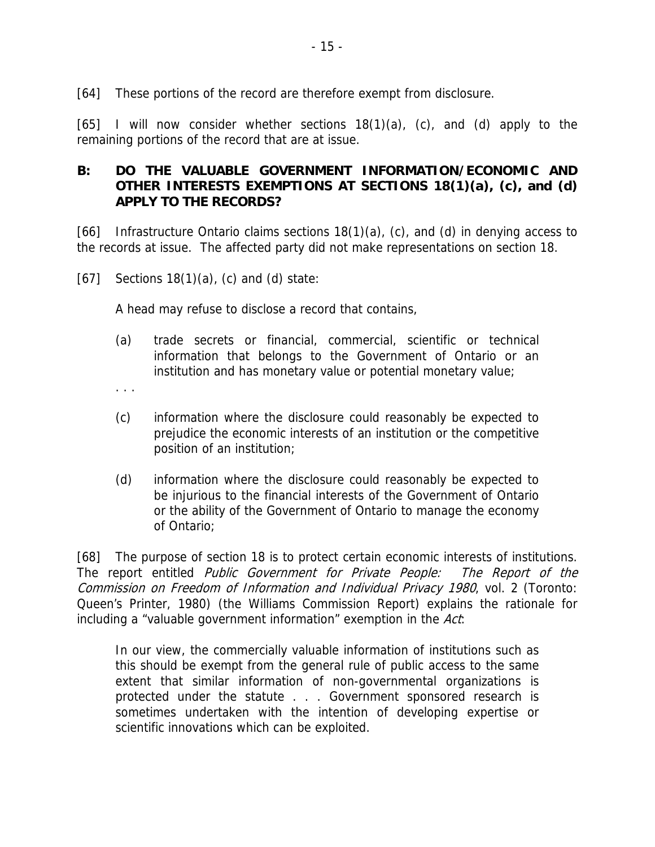[64] These portions of the record are therefore exempt from disclosure.

[65] I will now consider whether sections  $18(1)(a)$ , (c), and (d) apply to the remaining portions of the record that are at issue.

### **B: DO THE VALUABLE GOVERNMENT INFORMATION/ECONOMIC AND OTHER INTERESTS EXEMPTIONS AT SECTIONS 18(1)(a), (c), and (d) APPLY TO THE RECORDS?**

[66] Infrastructure Ontario claims sections  $18(1)(a)$ , (c), and (d) in denying access to the records at issue. The affected party did not make representations on section 18.

 $[67]$  Sections 18(1)(a), (c) and (d) state:

A head may refuse to disclose a record that contains,

(a) trade secrets or financial, commercial, scientific or technical information that belongs to the Government of Ontario or an institution and has monetary value or potential monetary value;

. . .

- (c) information where the disclosure could reasonably be expected to prejudice the economic interests of an institution or the competitive position of an institution;
- (d) information where the disclosure could reasonably be expected to be injurious to the financial interests of the Government of Ontario or the ability of the Government of Ontario to manage the economy of Ontario;

[68] The purpose of section 18 is to protect certain economic interests of institutions. The report entitled Public Government for Private People: The Report of the Commission on Freedom of Information and Individual Privacy 1980, vol. 2 (Toronto: Queen's Printer, 1980) (the Williams Commission Report) explains the rationale for including a "valuable government information" exemption in the Act:

In our view, the commercially valuable information of institutions such as this should be exempt from the general rule of public access to the same extent that similar information of non-governmental organizations is protected under the statute . . . Government sponsored research is sometimes undertaken with the intention of developing expertise or scientific innovations which can be exploited.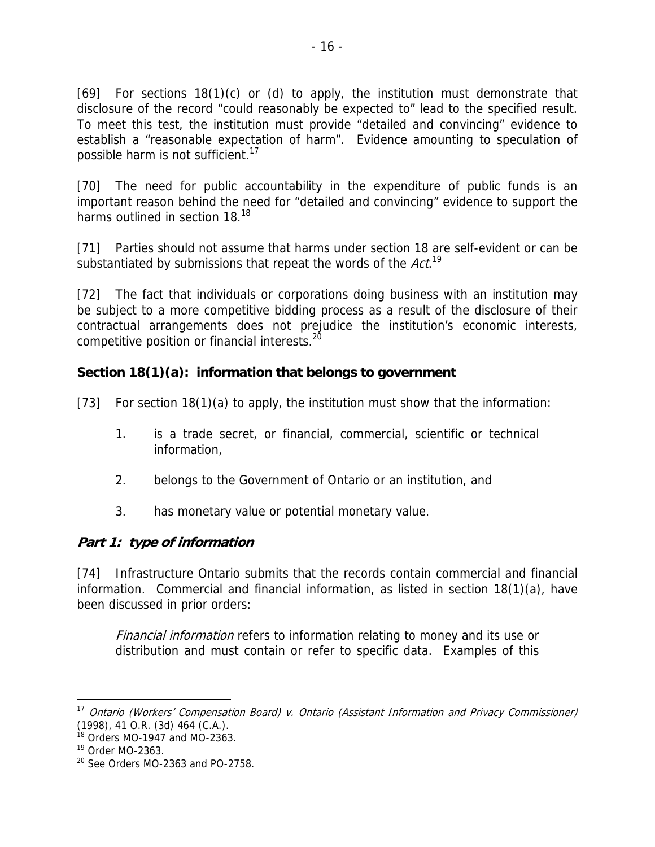[69] For sections 18(1)(c) or (d) to apply, the institution must demonstrate that disclosure of the record "could reasonably be expected to" lead to the specified result. To meet this test, the institution must provide "detailed and convincing" evidence to establish a "reasonable expectation of harm". Evidence amounting to speculation of possible harm is not sufficient.<sup>17</sup>

[70] The need for public accountability in the expenditure of public funds is an important reason behind the need for "detailed and convincing" evidence to support the harms outlined in section 18.<sup>18</sup>

[71] Parties should not assume that harms under section 18 are self-evident or can be substantiated by submissions that repeat the words of the Act.<sup>19</sup>

[72] The fact that individuals or corporations doing business with an institution may be subject to a more competitive bidding process as a result of the disclosure of their contractual arrangements does not prejudice the institution's economic interests, competitive position or financial interests.<sup>20</sup>

### **Section 18(1)(a): information that belongs to government**

[73] For section 18(1)(a) to apply, the institution must show that the information:

- 1. is a trade secret, or financial, commercial, scientific or technical information,
- 2. belongs to the Government of Ontario or an institution, and
- 3. has monetary value or potential monetary value.

### **Part 1: type of information**

[74] Infrastructure Ontario submits that the records contain commercial and financial information. Commercial and financial information, as listed in section 18(1)(a), have been discussed in prior orders:

Financial information refers to information relating to money and its use or distribution and must contain or refer to specific data. Examples of this

<sup>&</sup>lt;sup>17</sup> Ontario (Workers' Compensation Board) v. Ontario (Assistant Information and Privacy Commissioner) (1998), 41 O.R. (3d) 464 (C.A.).

 $18$  Orders MO-1947 and MO-2363.

<sup>19</sup> Order MO-2363.

 $20$  See Orders MO-2363 and PO-2758.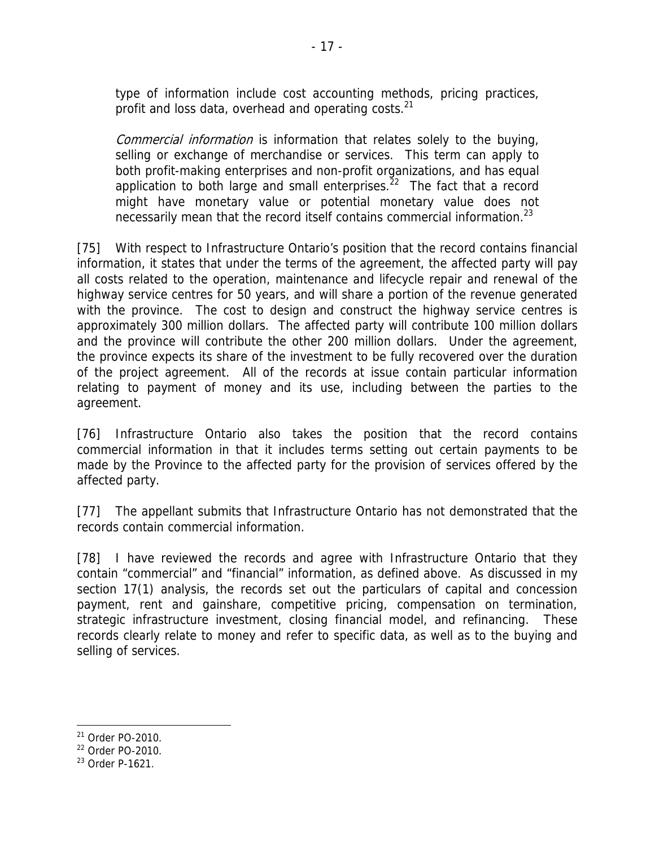type of information include cost accounting methods, pricing practices, profit and loss data, overhead and operating costs.<sup>21</sup>

Commercial information is information that relates solely to the buying, selling or exchange of merchandise or services. This term can apply to both profit-making enterprises and non-profit organizations, and has equal application to both large and small enterprises. $^{22}$  The fact that a record might have monetary value or potential monetary value does not necessarily mean that the record itself contains commercial information.<sup>23</sup>

[75] With respect to Infrastructure Ontario's position that the record contains financial information, it states that under the terms of the agreement, the affected party will pay all costs related to the operation, maintenance and lifecycle repair and renewal of the highway service centres for 50 years, and will share a portion of the revenue generated with the province. The cost to design and construct the highway service centres is approximately 300 million dollars. The affected party will contribute 100 million dollars and the province will contribute the other 200 million dollars. Under the agreement, the province expects its share of the investment to be fully recovered over the duration of the project agreement. All of the records at issue contain particular information relating to payment of money and its use, including between the parties to the agreement.

[76] Infrastructure Ontario also takes the position that the record contains commercial information in that it includes terms setting out certain payments to be made by the Province to the affected party for the provision of services offered by the affected party.

[77] The appellant submits that Infrastructure Ontario has not demonstrated that the records contain commercial information.

[78] I have reviewed the records and agree with Infrastructure Ontario that they contain "commercial" and "financial" information, as defined above. As discussed in my section 17(1) analysis, the records set out the particulars of capital and concession payment, rent and gainshare, competitive pricing, compensation on termination, strategic infrastructure investment, closing financial model, and refinancing. These records clearly relate to money and refer to specific data, as well as to the buying and selling of services.

1

<sup>21</sup> Order PO-2010.

<sup>22</sup> Order PO-2010.

<sup>23</sup> Order P-1621.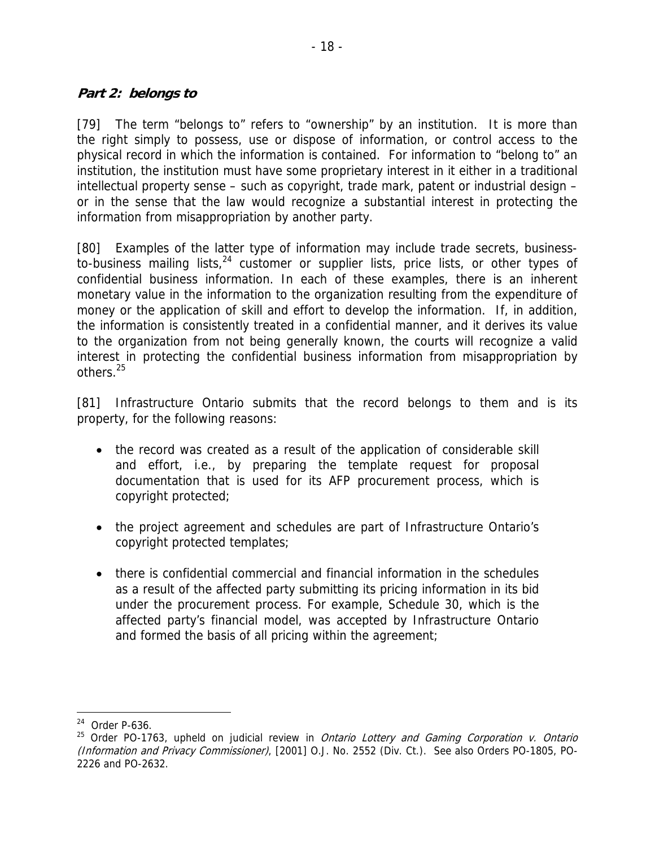#### **Part 2: belongs to**

[79] The term "belongs to" refers to "ownership" by an institution. It is more than the right simply to possess, use or dispose of information, or control access to the physical record in which the information is contained. For information to "belong to" an institution, the institution must have some proprietary interest in it either in a traditional intellectual property sense – such as copyright, trade mark, patent or industrial design – or in the sense that the law would recognize a substantial interest in protecting the information from misappropriation by another party.

[80] Examples of the latter type of information may include trade secrets, businessto-business mailing lists,  $24$  customer or supplier lists, price lists, or other types of confidential business information. In each of these examples, there is an inherent monetary value in the information to the organization resulting from the expenditure of money or the application of skill and effort to develop the information. If, in addition, the information is consistently treated in a confidential manner, and it derives its value to the organization from not being generally known, the courts will recognize a valid interest in protecting the confidential business information from misappropriation by others.<sup>25</sup>

[81] Infrastructure Ontario submits that the record belongs to them and is its property, for the following reasons:

- the record was created as a result of the application of considerable skill and effort, i.e., by preparing the template request for proposal documentation that is used for its AFP procurement process, which is copyright protected;
- the project agreement and schedules are part of Infrastructure Ontario's copyright protected templates;
- there is confidential commercial and financial information in the schedules as a result of the affected party submitting its pricing information in its bid under the procurement process. For example, Schedule 30, which is the affected party's financial model, was accepted by Infrastructure Ontario and formed the basis of all pricing within the agreement;

<sup>24</sup> Order P-636.

 $25$  Order PO-1763, upheld on judicial review in *Ontario Lottery and Gaming Corporation v. Ontario* (Information and Privacy Commissioner), [2001] O.J. No. 2552 (Div. Ct.). See also Orders PO-1805, PO-2226 and PO-2632.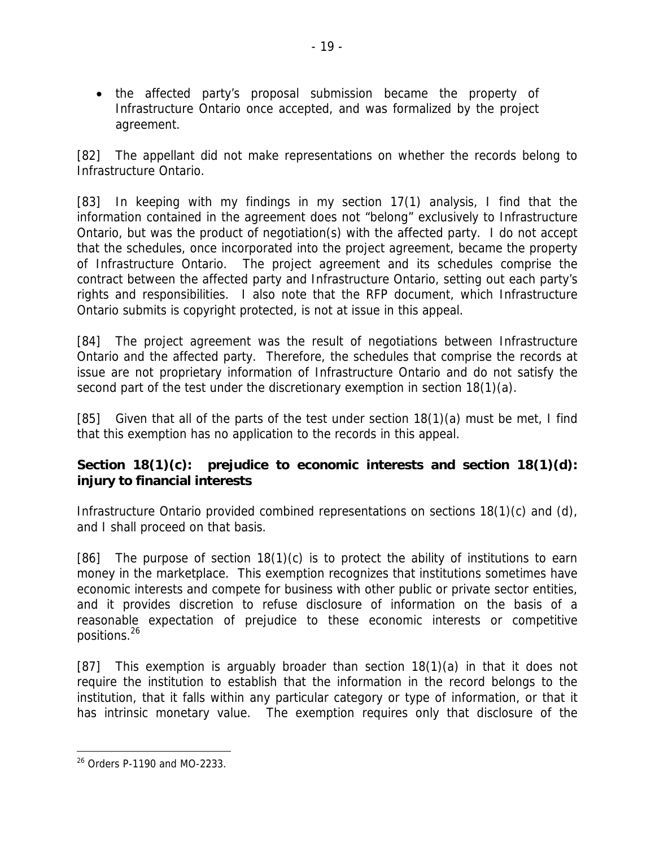the affected party's proposal submission became the property of Infrastructure Ontario once accepted, and was formalized by the project agreement.

[82] The appellant did not make representations on whether the records belong to Infrastructure Ontario.

[83] In keeping with my findings in my section 17(1) analysis, I find that the information contained in the agreement does not "belong" exclusively to Infrastructure Ontario, but was the product of negotiation(s) with the affected party. I do not accept that the schedules, once incorporated into the project agreement, became the property of Infrastructure Ontario. The project agreement and its schedules comprise the contract between the affected party and Infrastructure Ontario, setting out each party's rights and responsibilities. I also note that the RFP document, which Infrastructure Ontario submits is copyright protected, is not at issue in this appeal.

[84] The project agreement was the result of negotiations between Infrastructure Ontario and the affected party. Therefore, the schedules that comprise the records at issue are not proprietary information of Infrastructure Ontario and do not satisfy the second part of the test under the discretionary exemption in section 18(1)(a).

[85] Given that all of the parts of the test under section 18(1)(a) must be met, I find that this exemption has no application to the records in this appeal.

### **Section 18(1)(c): prejudice to economic interests and section 18(1)(d): injury to financial interests**

Infrastructure Ontario provided combined representations on sections 18(1)(c) and (d), and I shall proceed on that basis.

[86] The purpose of section  $18(1)(c)$  is to protect the ability of institutions to earn money in the marketplace. This exemption recognizes that institutions sometimes have economic interests and compete for business with other public or private sector entities, and it provides discretion to refuse disclosure of information on the basis of a reasonable expectation of prejudice to these economic interests or competitive positions.26

[87] This exemption is arguably broader than section 18(1)(a) in that it does not require the institution to establish that the information in the record belongs to the institution, that it falls within any particular category or type of information, or that it has intrinsic monetary value. The exemption requires only that disclosure of the

<sup>26</sup> Orders P-1190 and MO-2233.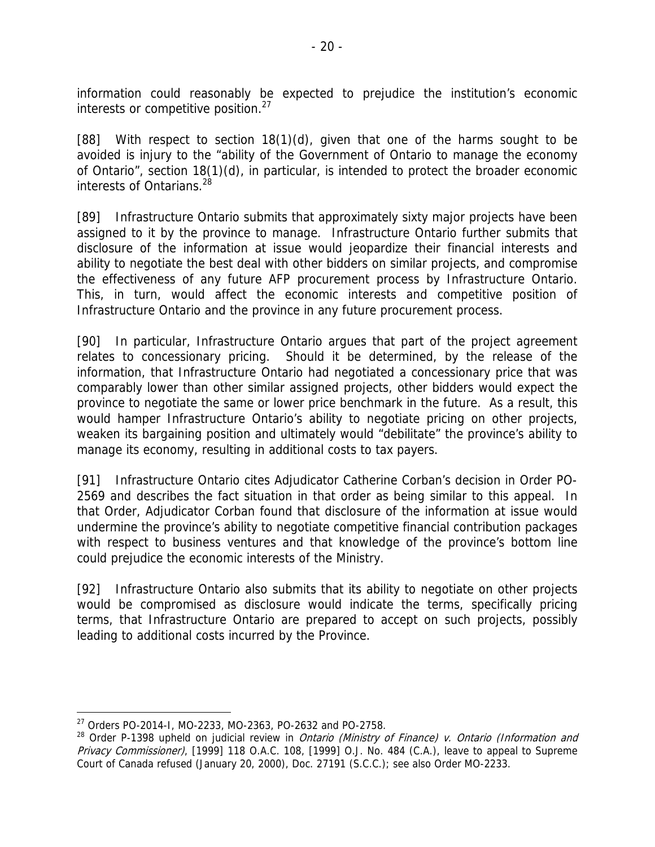information could reasonably be expected to prejudice the institution's economic interests or competitive position. $27$ 

[88] With respect to section 18(1)(d), given that one of the harms sought to be avoided is injury to the "ability of the Government of Ontario to manage the economy of Ontario", section 18(1)(d), in particular, is intended to protect the broader economic interests of Ontarians.<sup>28</sup>

[89] Infrastructure Ontario submits that approximately sixty major projects have been assigned to it by the province to manage. Infrastructure Ontario further submits that disclosure of the information at issue would jeopardize their financial interests and ability to negotiate the best deal with other bidders on similar projects, and compromise the effectiveness of any future AFP procurement process by Infrastructure Ontario. This, in turn, would affect the economic interests and competitive position of Infrastructure Ontario and the province in any future procurement process.

[90] In particular, Infrastructure Ontario argues that part of the project agreement relates to concessionary pricing. Should it be determined, by the release of the information, that Infrastructure Ontario had negotiated a concessionary price that was comparably lower than other similar assigned projects, other bidders would expect the province to negotiate the same or lower price benchmark in the future. As a result, this would hamper Infrastructure Ontario's ability to negotiate pricing on other projects, weaken its bargaining position and ultimately would "debilitate" the province's ability to manage its economy, resulting in additional costs to tax payers.

[91] Infrastructure Ontario cites Adjudicator Catherine Corban's decision in Order PO-2569 and describes the fact situation in that order as being similar to this appeal. In that Order, Adjudicator Corban found that disclosure of the information at issue would undermine the province's ability to negotiate competitive financial contribution packages with respect to business ventures and that knowledge of the province's bottom line could prejudice the economic interests of the Ministry.

[92] Infrastructure Ontario also submits that its ability to negotiate on other projects would be compromised as disclosure would indicate the terms, specifically pricing terms, that Infrastructure Ontario are prepared to accept on such projects, possibly leading to additional costs incurred by the Province.

<u>.</u>

<sup>27</sup> Orders PO-2014-I, MO-2233, MO-2363, PO-2632 and PO-2758.

<sup>&</sup>lt;sup>28</sup> Order P-1398 upheld on judicial review in *Ontario (Ministry of Finance) v. Ontario (Information and* Privacy Commissioner), [1999] 118 O.A.C. 108, [1999] O.J. No. 484 (C.A.), leave to appeal to Supreme Court of Canada refused (January 20, 2000), Doc. 27191 (S.C.C.); see also Order MO-2233.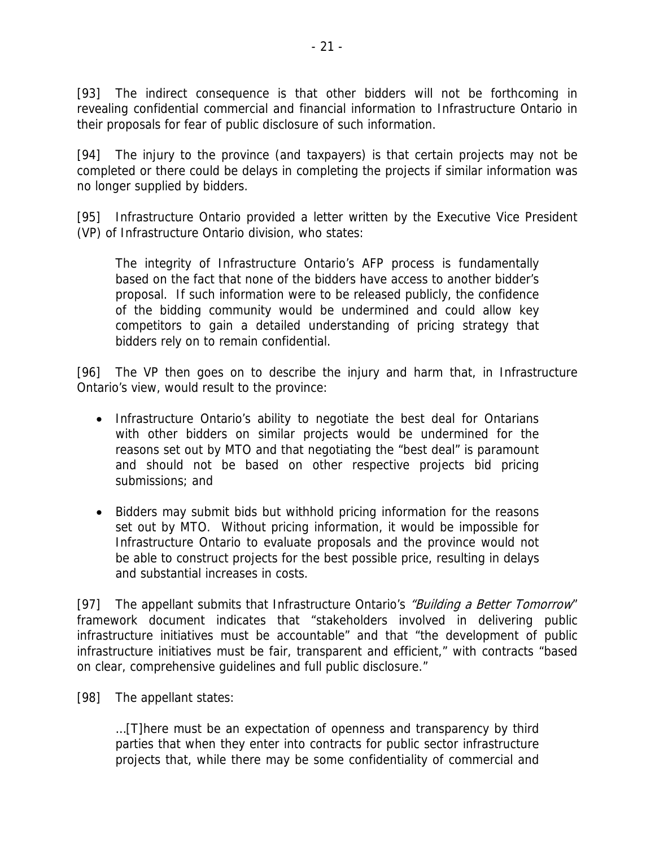[93] The indirect consequence is that other bidders will not be forthcoming in revealing confidential commercial and financial information to Infrastructure Ontario in their proposals for fear of public disclosure of such information.

[94] The injury to the province (and taxpayers) is that certain projects may not be completed or there could be delays in completing the projects if similar information was no longer supplied by bidders.

[95] Infrastructure Ontario provided a letter written by the Executive Vice President (VP) of Infrastructure Ontario division, who states:

The integrity of Infrastructure Ontario's AFP process is fundamentally based on the fact that none of the bidders have access to another bidder's proposal. If such information were to be released publicly, the confidence of the bidding community would be undermined and could allow key competitors to gain a detailed understanding of pricing strategy that bidders rely on to remain confidential.

[96] The VP then goes on to describe the injury and harm that, in Infrastructure Ontario's view, would result to the province:

- Infrastructure Ontario's ability to negotiate the best deal for Ontarians with other bidders on similar projects would be undermined for the reasons set out by MTO and that negotiating the "best deal" is paramount and should not be based on other respective projects bid pricing submissions; and
- Bidders may submit bids but withhold pricing information for the reasons set out by MTO. Without pricing information, it would be impossible for Infrastructure Ontario to evaluate proposals and the province would not be able to construct projects for the best possible price, resulting in delays and substantial increases in costs.

[97] The appellant submits that Infrastructure Ontario's "Building a Better Tomorrow" framework document indicates that "stakeholders involved in delivering public infrastructure initiatives must be accountable" and that "the development of public infrastructure initiatives must be fair, transparent and efficient," with contracts "based on clear, comprehensive guidelines and full public disclosure."

[98] The appellant states:

…[T]here must be an expectation of openness and transparency by third parties that when they enter into contracts for public sector infrastructure projects that, while there may be some confidentiality of commercial and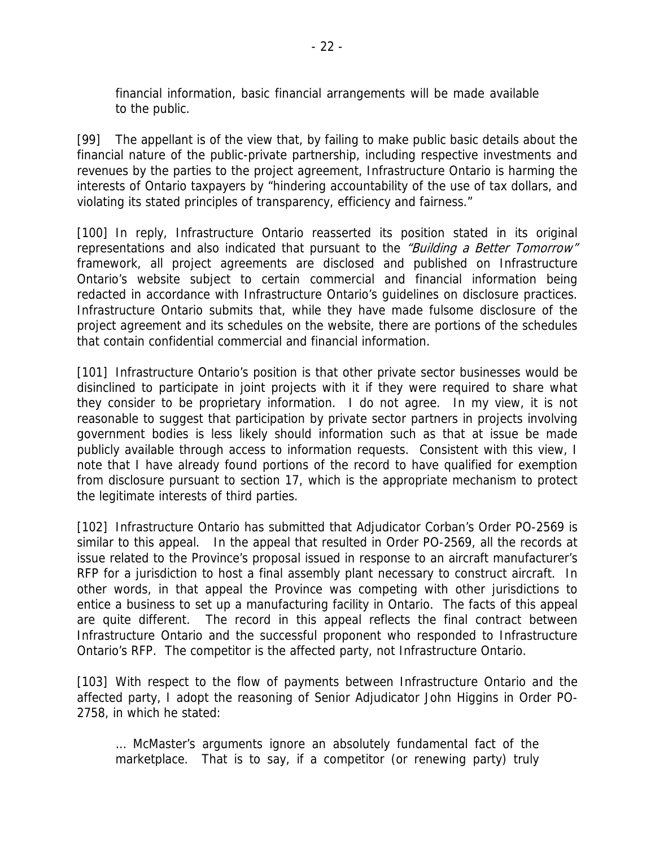financial information, basic financial arrangements will be made available to the public.

[99] The appellant is of the view that, by failing to make public basic details about the financial nature of the public-private partnership, including respective investments and revenues by the parties to the project agreement, Infrastructure Ontario is harming the interests of Ontario taxpayers by "hindering accountability of the use of tax dollars, and violating its stated principles of transparency, efficiency and fairness."

[100] In reply, Infrastructure Ontario reasserted its position stated in its original representations and also indicated that pursuant to the "Building a Better Tomorrow" framework, all project agreements are disclosed and published on Infrastructure Ontario's website subject to certain commercial and financial information being redacted in accordance with Infrastructure Ontario's guidelines on disclosure practices. Infrastructure Ontario submits that, while they have made fulsome disclosure of the project agreement and its schedules on the website, there are portions of the schedules that contain confidential commercial and financial information.

[101] Infrastructure Ontario's position is that other private sector businesses would be disinclined to participate in joint projects with it if they were required to share what they consider to be proprietary information. I do not agree. In my view, it is not reasonable to suggest that participation by private sector partners in projects involving government bodies is less likely should information such as that at issue be made publicly available through access to information requests. Consistent with this view, I note that I have already found portions of the record to have qualified for exemption from disclosure pursuant to section 17, which is the appropriate mechanism to protect the legitimate interests of third parties.

[102] Infrastructure Ontario has submitted that Adjudicator Corban's Order PO-2569 is similar to this appeal. In the appeal that resulted in Order PO-2569, all the records at issue related to the Province's proposal issued in response to an aircraft manufacturer's RFP for a jurisdiction to host a final assembly plant necessary to construct aircraft. In other words, in that appeal the Province was competing with other jurisdictions to entice a business to set up a manufacturing facility in Ontario. The facts of this appeal are quite different. The record in this appeal reflects the final contract between Infrastructure Ontario and the successful proponent who responded to Infrastructure Ontario's RFP. The competitor is the affected party, not Infrastructure Ontario.

[103] With respect to the flow of payments between Infrastructure Ontario and the affected party, I adopt the reasoning of Senior Adjudicator John Higgins in Order PO-2758, in which he stated:

… McMaster's arguments ignore an absolutely fundamental fact of the marketplace. That is to say, if a competitor (or renewing party) truly